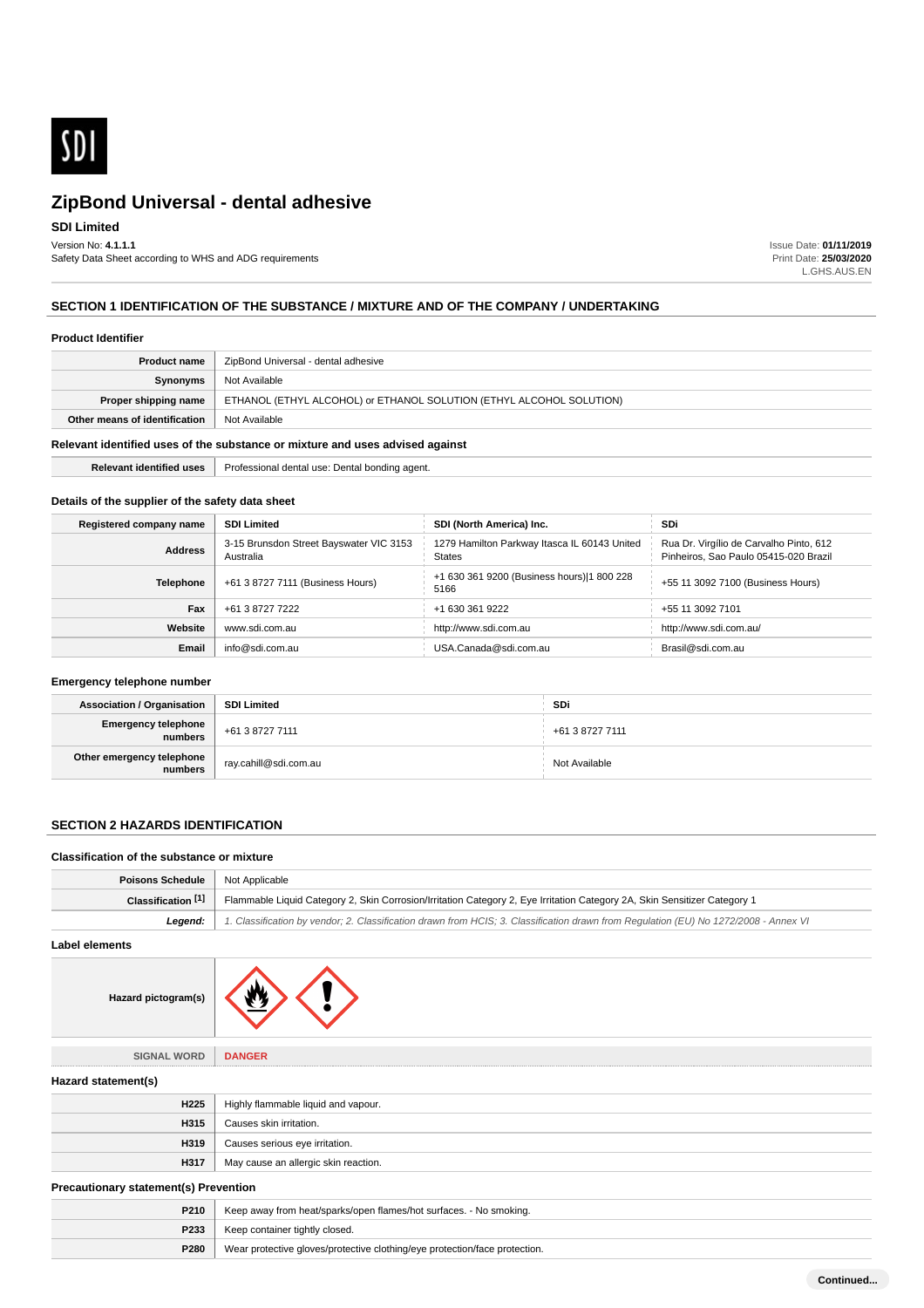

## **SDI Limited**

Version No: **4.1.1.1** Safety Data Sheet according to WHS and ADG requirements Issue Date: **01/11/2019** Print Date: **25/03/2020** L.GHS.AUS.EN

## **SECTION 1 IDENTIFICATION OF THE SUBSTANCE / MIXTURE AND OF THE COMPANY / UNDERTAKING**

#### **Product Identifier**

| <b>Product name</b>                                                           | ZipBond Universal - dental adhesive                                  |
|-------------------------------------------------------------------------------|----------------------------------------------------------------------|
| Synonyms                                                                      | Not Available                                                        |
| Proper shipping name                                                          | ETHANOL (ETHYL ALCOHOL) or ETHANOL SOLUTION (ETHYL ALCOHOL SOLUTION) |
| Other means of identification                                                 | Not Available                                                        |
| Relevant identified uses of the substance or mixture and uses advised against |                                                                      |

**Relevant identified uses** Professional dental use: Dental bonding agent.

## **Details of the supplier of the safety data sheet**

| Registered company name | <b>SDI Limited</b>                                   | SDI (North America) Inc.                                      | SDi                                                                              |
|-------------------------|------------------------------------------------------|---------------------------------------------------------------|----------------------------------------------------------------------------------|
| <b>Address</b>          | 3-15 Brunsdon Street Bayswater VIC 3153<br>Australia | 1279 Hamilton Parkway Itasca IL 60143 United<br><b>States</b> | Rua Dr. Virgílio de Carvalho Pinto, 612<br>Pinheiros, Sao Paulo 05415-020 Brazil |
| <b>Telephone</b>        | +61 3 8727 7111 (Business Hours)                     | +1 630 361 9200 (Business hours) 1 800 228<br>5166            | +55 11 3092 7100 (Business Hours)                                                |
| Fax                     | +61 3 8727 7222                                      | +1 630 361 9222                                               | +55 11 3092 7101                                                                 |
| Website                 | www.sdi.com.au                                       | http://www.sdi.com.au                                         | http://www.sdi.com.au/                                                           |
| Email                   | info@sdi.com.au                                      | USA.Canada@sdi.com.au                                         | Brasil@sdi.com.au                                                                |

### **Emergency telephone number**

| <b>Association / Organisation</b>                | SDI Limited                        | <b>SDi</b>      |
|--------------------------------------------------|------------------------------------|-----------------|
| Emergency telephone<br>numbers   +61 3 8727 7111 |                                    | +61 3 8727 7111 |
| Other emergency telephone<br>numbers             | <sup>1</sup> ray.cahill@sdi.com.au | Not Available   |

### **SECTION 2 HAZARDS IDENTIFICATION**

#### **Classification of the substance or mixture**

| <b>Poisons Schedule</b>   Not Applicable |                                                                                                                                                |
|------------------------------------------|------------------------------------------------------------------------------------------------------------------------------------------------|
|                                          | Classification [1]   Flammable Liquid Category 2, Skin Corrosion/Irritation Category 2, Eye Irritation Category 2A, Skin Sensitizer Category 1 |
| Leaend:                                  | 1. Classification by vendor; 2. Classification drawn from HCIS; 3. Classification drawn from Regulation (EU) No 1272/2008 - Annex VI           |

**Label elements**



**SIGNAL WORD DANGER**

**Hazard statement(s)**

| H <sub>225</sub> | Highly flammable liquid and vapour.  |
|------------------|--------------------------------------|
| H315             | Causes skin irritation.              |
| H319             | Causes serious eye irritation.       |
| H317             | May cause an allergic skin reaction. |

## **Precautionary statement(s) Prevention**

| P210 | Keep away from heat/sparks/open flames/hot surfaces. - No smoking.         |
|------|----------------------------------------------------------------------------|
| P233 | Keep container tightly closed.                                             |
| P280 | Wear protective gloves/protective clothing/eye protection/face protection. |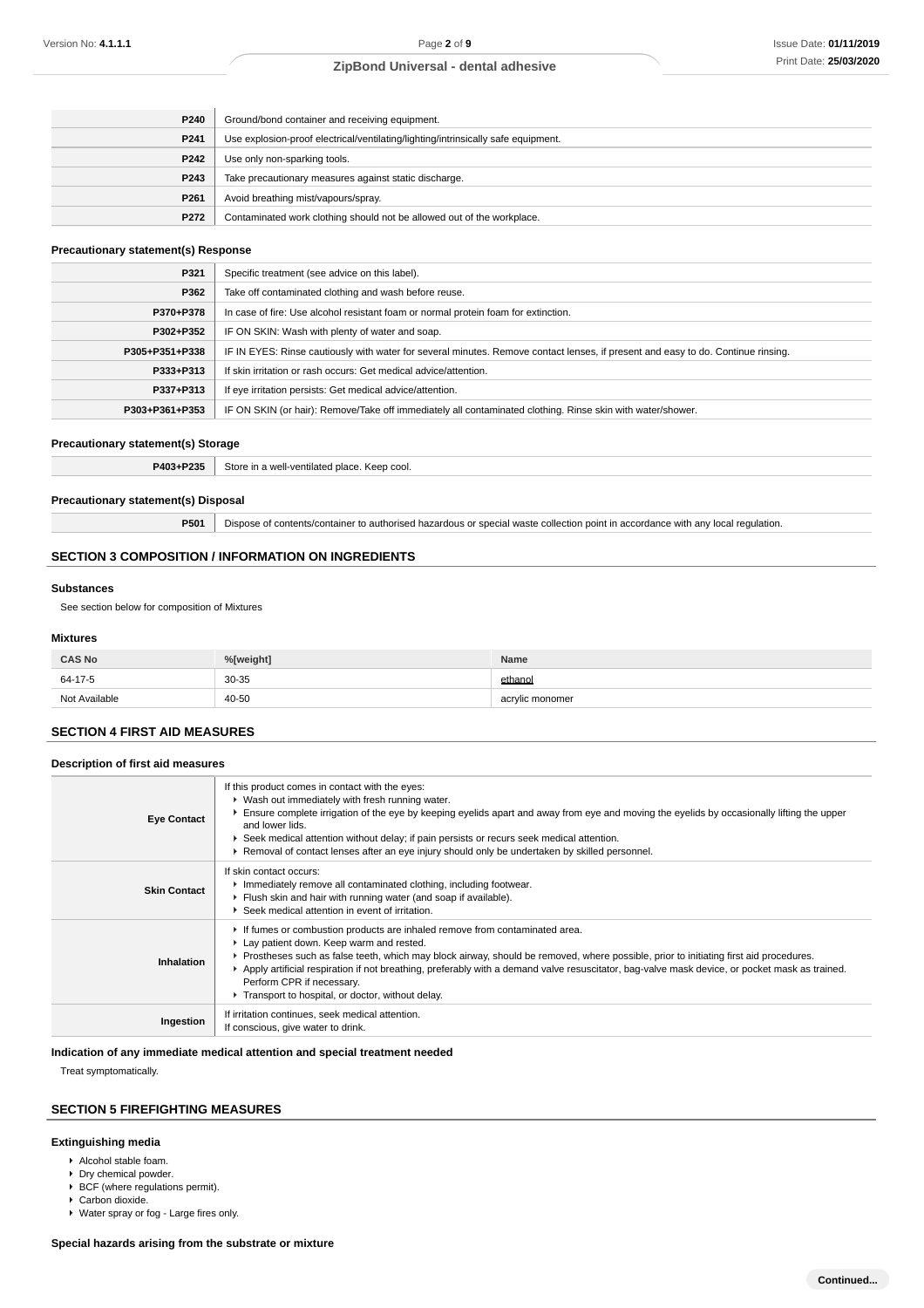| P240             | Ground/bond container and receiving equipment.                                    |
|------------------|-----------------------------------------------------------------------------------|
| P241             | Use explosion-proof electrical/ventilating/lighting/intrinsically safe equipment. |
| P242             | Use only non-sparking tools.                                                      |
| P243             | Take precautionary measures against static discharge.                             |
| P <sub>261</sub> | Avoid breathing mist/vapours/spray.                                               |
| P272             | Contaminated work clothing should not be allowed out of the workplace.            |

### **Precautionary statement(s) Response**

| P321           | Specific treatment (see advice on this label).                                                                                   |
|----------------|----------------------------------------------------------------------------------------------------------------------------------|
| P362           | Take off contaminated clothing and wash before reuse.                                                                            |
| P370+P378      | In case of fire: Use alcohol resistant foam or normal protein foam for extinction.                                               |
| P302+P352      | IF ON SKIN: Wash with plenty of water and soap.                                                                                  |
| P305+P351+P338 | IF IN EYES: Rinse cautiously with water for several minutes. Remove contact lenses, if present and easy to do. Continue rinsing. |
| P333+P313      | If skin irritation or rash occurs: Get medical advice/attention.                                                                 |
| P337+P313      | If eye irritation persists: Get medical advice/attention.                                                                        |
| P303+P361+P353 | IF ON SKIN (or hair): Remove/Take off immediately all contaminated clothing. Rinse skin with water/shower.                       |

#### **Precautionary statement(s) Storage**

**P403+P235** Store in a well-ventilated place. Keep cool.

## **Precautionary statement(s) Disposal**

**P501** Dispose of contents/container to authorised hazardous or special waste collection point in accordance with any local regulation.

## **SECTION 3 COMPOSITION / INFORMATION ON INGREDIENTS**

#### **Substances**

See section below for composition of Mixtures

### **Mixtures**

| <b>CAS No</b> | %[weight] | Name            |
|---------------|-----------|-----------------|
| 64-17-5       | $30 - 35$ | ethanol         |
| Not Available | $40 - 50$ | acrylic monomer |

#### **SECTION 4 FIRST AID MEASURES**

| Description of first aid measures |                                                                                                                                                                                                                                                                                                                                                                                                                                                                                                     |  |
|-----------------------------------|-----------------------------------------------------------------------------------------------------------------------------------------------------------------------------------------------------------------------------------------------------------------------------------------------------------------------------------------------------------------------------------------------------------------------------------------------------------------------------------------------------|--|
| <b>Eye Contact</b>                | If this product comes in contact with the eyes:<br>• Wash out immediately with fresh running water.<br>Ensure complete irrigation of the eye by keeping eyelids apart and away from eye and moving the eyelids by occasionally lifting the upper<br>and lower lids.<br>▶ Seek medical attention without delay; if pain persists or recurs seek medical attention.<br>► Removal of contact lenses after an eye injury should only be undertaken by skilled personnel.                                |  |
| <b>Skin Contact</b>               | If skin contact occurs:<br>Immediately remove all contaminated clothing, including footwear.<br>Flush skin and hair with running water (and soap if available).<br>Seek medical attention in event of irritation.                                                                                                                                                                                                                                                                                   |  |
| Inhalation                        | If fumes or combustion products are inhaled remove from contaminated area.<br>Lay patient down. Keep warm and rested.<br>▶ Prostheses such as false teeth, which may block airway, should be removed, where possible, prior to initiating first aid procedures.<br>▶ Apply artificial respiration if not breathing, preferably with a demand valve resuscitator, bag-valve mask device, or pocket mask as trained.<br>Perform CPR if necessary.<br>Transport to hospital, or doctor, without delay. |  |
| Ingestion                         | If irritation continues, seek medical attention.<br>If conscious, give water to drink.                                                                                                                                                                                                                                                                                                                                                                                                              |  |

### **Indication of any immediate medical attention and special treatment needed**

Treat symptomatically.

## **SECTION 5 FIREFIGHTING MEASURES**

### **Extinguishing media**

- Alcohol stable foam.
- **Dry chemical powder.**
- $\triangleright$  BCF (where regulations permit).
- ▶ Carbon dioxide.
- Water spray or fog Large fires only.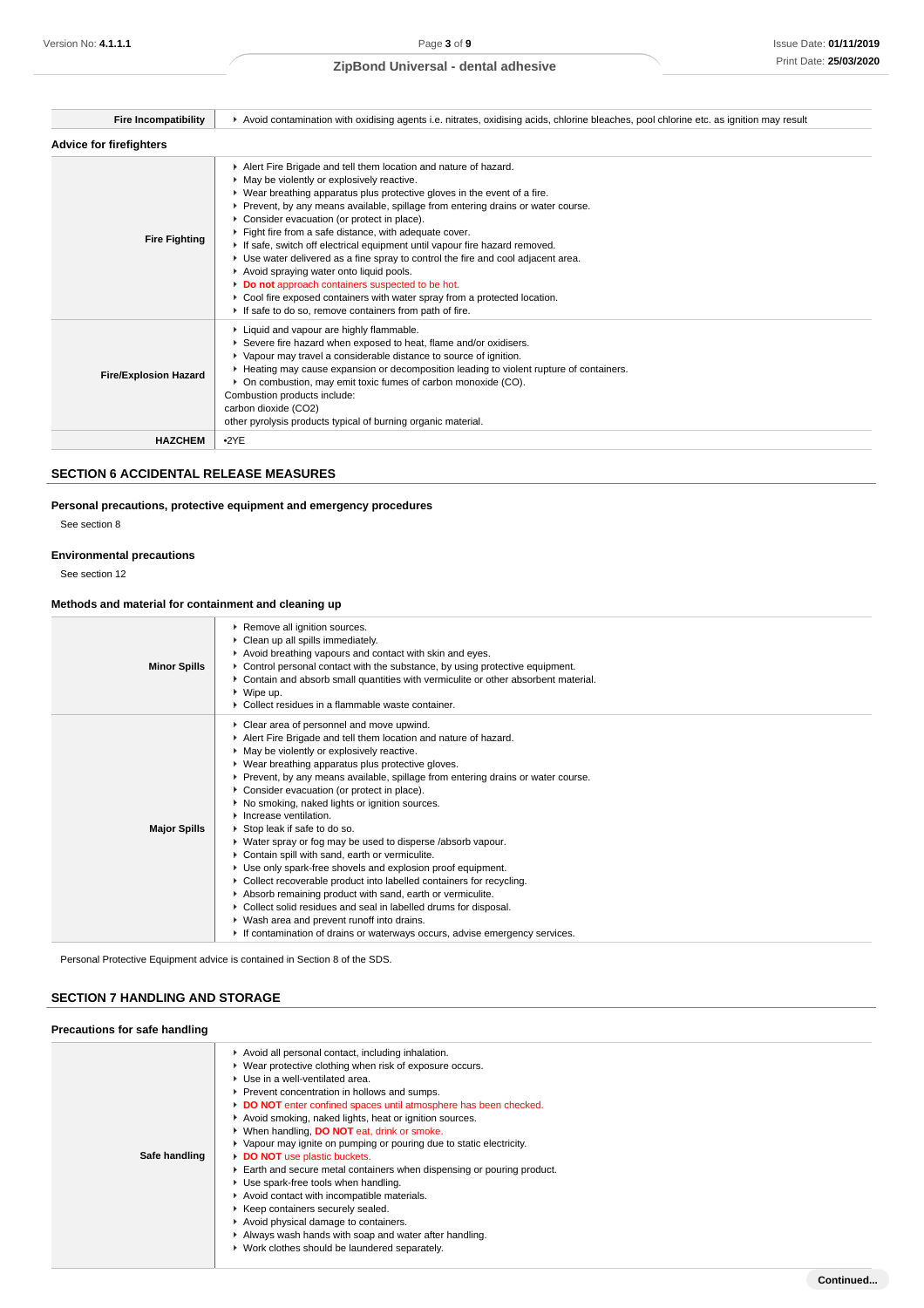| <b>Fire Incompatibility</b>  | ▶ Avoid contamination with oxidising agents i.e. nitrates, oxidising acids, chlorine bleaches, pool chlorine etc. as ignition may result                                                                                                                                                                                                                                                                                                                                                                                                                                                                                                                                                                                                                                                         |  |
|------------------------------|--------------------------------------------------------------------------------------------------------------------------------------------------------------------------------------------------------------------------------------------------------------------------------------------------------------------------------------------------------------------------------------------------------------------------------------------------------------------------------------------------------------------------------------------------------------------------------------------------------------------------------------------------------------------------------------------------------------------------------------------------------------------------------------------------|--|
| Advice for firefighters      |                                                                                                                                                                                                                                                                                                                                                                                                                                                                                                                                                                                                                                                                                                                                                                                                  |  |
| <b>Fire Fighting</b>         | Alert Fire Brigade and tell them location and nature of hazard.<br>• May be violently or explosively reactive.<br>▶ Wear breathing apparatus plus protective gloves in the event of a fire.<br>▶ Prevent, by any means available, spillage from entering drains or water course.<br>Consider evacuation (or protect in place).<br>Fight fire from a safe distance, with adequate cover.<br>If safe, switch off electrical equipment until vapour fire hazard removed.<br>► Use water delivered as a fine spray to control the fire and cool adjacent area.<br>Avoid spraying water onto liquid pools.<br>Do not approach containers suspected to be hot.<br>• Cool fire exposed containers with water spray from a protected location.<br>If safe to do so, remove containers from path of fire. |  |
| <b>Fire/Explosion Hazard</b> | Liquid and vapour are highly flammable.<br>Severe fire hazard when exposed to heat, flame and/or oxidisers.<br>▶ Vapour may travel a considerable distance to source of ignition.<br>► Heating may cause expansion or decomposition leading to violent rupture of containers.<br>• On combustion, may emit toxic fumes of carbon monoxide (CO).<br>Combustion products include:<br>carbon dioxide (CO2)<br>other pyrolysis products typical of burning organic material.                                                                                                                                                                                                                                                                                                                         |  |
| <b>HAZCHEM</b>               | $-2YE$                                                                                                                                                                                                                                                                                                                                                                                                                                                                                                                                                                                                                                                                                                                                                                                           |  |

## **SECTION 6 ACCIDENTAL RELEASE MEASURES**

## **Personal precautions, protective equipment and emergency procedures**

See section 8

## **Environmental precautions**

See section 12

## **Methods and material for containment and cleaning up**

| <b>Minor Spills</b> | ▶ Remove all ignition sources.<br>• Clean up all spills immediately.<br>Avoid breathing vapours and contact with skin and eyes.<br>► Control personal contact with the substance, by using protective equipment.<br>• Contain and absorb small quantities with vermiculite or other absorbent material.<br>$\triangleright$ Wipe up.<br>• Collect residues in a flammable waste container.                                                                                                                                                                                                                                                                                                                                                                                                                                                                                                                                                                                                                       |
|---------------------|------------------------------------------------------------------------------------------------------------------------------------------------------------------------------------------------------------------------------------------------------------------------------------------------------------------------------------------------------------------------------------------------------------------------------------------------------------------------------------------------------------------------------------------------------------------------------------------------------------------------------------------------------------------------------------------------------------------------------------------------------------------------------------------------------------------------------------------------------------------------------------------------------------------------------------------------------------------------------------------------------------------|
| <b>Major Spills</b> | Clear area of personnel and move upwind.<br>Alert Fire Brigade and tell them location and nature of hazard.<br>• May be violently or explosively reactive.<br>▶ Wear breathing apparatus plus protective gloves.<br>▶ Prevent, by any means available, spillage from entering drains or water course.<br>• Consider evacuation (or protect in place).<br>▶ No smoking, naked lights or ignition sources.<br>$\blacktriangleright$ Increase ventilation.<br>▶ Stop leak if safe to do so.<br>• Water spray or fog may be used to disperse /absorb vapour.<br>Contain spill with sand, earth or vermiculite.<br>Use only spark-free shovels and explosion proof equipment.<br>▶ Collect recoverable product into labelled containers for recycling.<br>Absorb remaining product with sand, earth or vermiculite.<br>▶ Collect solid residues and seal in labelled drums for disposal.<br>▶ Wash area and prevent runoff into drains.<br>If contamination of drains or waterways occurs, advise emergency services. |

Personal Protective Equipment advice is contained in Section 8 of the SDS.

## **SECTION 7 HANDLING AND STORAGE**

| Precautions for safe handling |                                                                                                                                                                                                                                                                                                                                                                                                                                                                                                                                                                                                                                                                                                                                                                                                                                           |
|-------------------------------|-------------------------------------------------------------------------------------------------------------------------------------------------------------------------------------------------------------------------------------------------------------------------------------------------------------------------------------------------------------------------------------------------------------------------------------------------------------------------------------------------------------------------------------------------------------------------------------------------------------------------------------------------------------------------------------------------------------------------------------------------------------------------------------------------------------------------------------------|
| Safe handling                 | Avoid all personal contact, including inhalation.<br>▶ Wear protective clothing when risk of exposure occurs.<br>Use in a well-ventilated area.<br>Prevent concentration in hollows and sumps.<br>DO NOT enter confined spaces until atmosphere has been checked.<br>Avoid smoking, naked lights, heat or ignition sources.<br>▶ When handling, DO NOT eat, drink or smoke.<br>▶ Vapour may ignite on pumping or pouring due to static electricity.<br>DO NOT use plastic buckets.<br>Earth and secure metal containers when dispensing or pouring product.<br>Use spark-free tools when handling.<br>Avoid contact with incompatible materials.<br>▶ Keep containers securely sealed.<br>Avoid physical damage to containers.<br>Always wash hands with soap and water after handling.<br>▶ Work clothes should be laundered separately. |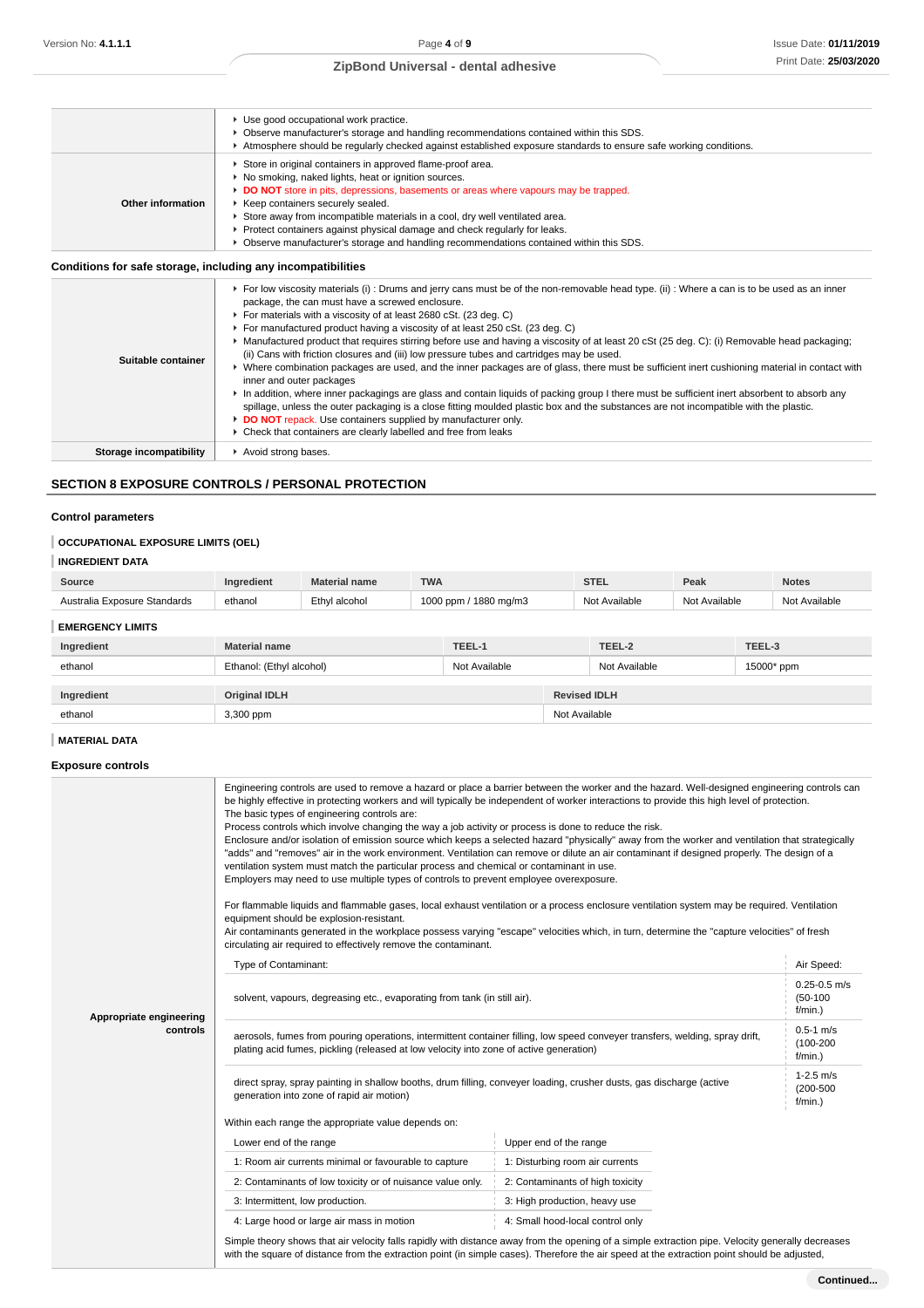|                                                              | ▶ Use good occupational work practice.                                                                                                        |
|--------------------------------------------------------------|-----------------------------------------------------------------------------------------------------------------------------------------------|
|                                                              | ► Observe manufacturer's storage and handling recommendations contained within this SDS.                                                      |
|                                                              | Atmosphere should be regularly checked against established exposure standards to ensure safe working conditions.                              |
|                                                              | Store in original containers in approved flame-proof area.                                                                                    |
|                                                              | • No smoking, naked lights, heat or ignition sources.                                                                                         |
|                                                              | DO NOT store in pits, depressions, basements or areas where vapours may be trapped.                                                           |
| Other information                                            | Keep containers securely sealed.                                                                                                              |
|                                                              | ► Store away from incompatible materials in a cool, dry well ventilated area.                                                                 |
|                                                              | $\blacktriangleright$ Protect containers against physical damage and check regularly for leaks.                                               |
|                                                              | ▶ Observe manufacturer's storage and handling recommendations contained within this SDS.                                                      |
| Conditions for safe storage, including any incompatibilities |                                                                                                                                               |
|                                                              | ▶ For low viscosity materials (i) : Drums and jerry cans must be of the non-removable head type. (ii) : Where a can is to be used as an inner |
|                                                              | package, the can must have a screwed enclosure.                                                                                               |
|                                                              | For materials with a viscosity of at least 2680 cSt. (23 deg. C)                                                                              |
|                                                              | For manufactured product having a viscosity of at least 250 cSt. (23 deg. C)                                                                  |

| Kanufactured product that requires stirring before use and having a viscosity of at least 20 cSt (25 deg. C): (i) Removable head packaging;<br>(ii) Cans with friction closures and (iii) low pressure tubes and cartridges may be used.<br>Suitable container<br>Where combination packages are used, and the inner packages are of glass, there must be sufficient inert cushioning material in contact with<br>inner and outer packages<br>In addition, where inner packagings are glass and contain liquids of packing group I there must be sufficient inert absorbent to absorb any<br>spillage, unless the outer packaging is a close fitting moulded plastic box and the substances are not incompatible with the plastic.<br>DO NOT repack. Use containers supplied by manufacturer only. |  |
|----------------------------------------------------------------------------------------------------------------------------------------------------------------------------------------------------------------------------------------------------------------------------------------------------------------------------------------------------------------------------------------------------------------------------------------------------------------------------------------------------------------------------------------------------------------------------------------------------------------------------------------------------------------------------------------------------------------------------------------------------------------------------------------------------|--|
|----------------------------------------------------------------------------------------------------------------------------------------------------------------------------------------------------------------------------------------------------------------------------------------------------------------------------------------------------------------------------------------------------------------------------------------------------------------------------------------------------------------------------------------------------------------------------------------------------------------------------------------------------------------------------------------------------------------------------------------------------------------------------------------------------|--|

Check that containers are clearly labelled and free from leaks

**Storage incompatibility F** Avoid strong bases.

## **SECTION 8 EXPOSURE CONTROLS / PERSONAL PROTECTION**

## **Control parameters**

## **OCCUPATIONAL EXPOSURE LIMITS (OEL)**

### **INGREDIENT DATA**

| Source                       | Ingredient           | <b>Material name</b>     | <b>TWA</b> |                       |               | <b>STEL</b>   | Peak          |            | <b>Notes</b>  |
|------------------------------|----------------------|--------------------------|------------|-----------------------|---------------|---------------|---------------|------------|---------------|
| Australia Exposure Standards | ethanol              | Ethyl alcohol            |            | 1000 ppm / 1880 mg/m3 |               | Not Available | Not Available |            | Not Available |
| <b>EMERGENCY LIMITS</b>      |                      |                          |            |                       |               |               |               |            |               |
| Ingredient                   | <b>Material name</b> |                          |            | TEEL-1                |               | TEEL-2        |               | TEEL-3     |               |
| ethanol                      |                      | Ethanol: (Ethyl alcohol) |            | Not Available         |               | Not Available |               | 15000* ppm |               |
|                              |                      |                          |            |                       |               |               |               |            |               |
| Ingredient                   | <b>Original IDLH</b> |                          |            | <b>Revised IDLH</b>   |               |               |               |            |               |
| ethanol                      | 3,300 ppm            |                          |            |                       | Not Available |               |               |            |               |

## **MATERIAL DATA**

### **Exposure controls**

|                         | Engineering controls are used to remove a hazard or place a barrier between the worker and the hazard. Well-designed engineering controls can<br>be highly effective in protecting workers and will typically be independent of worker interactions to provide this high level of protection.<br>The basic types of engineering controls are:<br>Process controls which involve changing the way a job activity or process is done to reduce the risk.<br>Enclosure and/or isolation of emission source which keeps a selected hazard "physically" away from the worker and ventilation that strategically<br>"adds" and "removes" air in the work environment. Ventilation can remove or dilute an air contaminant if designed properly. The design of a<br>ventilation system must match the particular process and chemical or contaminant in use.<br>Employers may need to use multiple types of controls to prevent employee overexposure.<br>For flammable liquids and flammable gases, local exhaust ventilation or a process enclosure ventilation system may be required. Ventilation<br>equipment should be explosion-resistant.<br>Air contaminants generated in the workplace possess varying "escape" velocities which, in turn, determine the "capture velocities" of fresh<br>circulating air required to effectively remove the contaminant. |                                                                                                                                                                                                                                                                                                   |  |  |  |
|-------------------------|--------------------------------------------------------------------------------------------------------------------------------------------------------------------------------------------------------------------------------------------------------------------------------------------------------------------------------------------------------------------------------------------------------------------------------------------------------------------------------------------------------------------------------------------------------------------------------------------------------------------------------------------------------------------------------------------------------------------------------------------------------------------------------------------------------------------------------------------------------------------------------------------------------------------------------------------------------------------------------------------------------------------------------------------------------------------------------------------------------------------------------------------------------------------------------------------------------------------------------------------------------------------------------------------------------------------------------------------------------------|---------------------------------------------------------------------------------------------------------------------------------------------------------------------------------------------------------------------------------------------------------------------------------------------------|--|--|--|
|                         | Type of Contaminant:                                                                                                                                                                                                                                                                                                                                                                                                                                                                                                                                                                                                                                                                                                                                                                                                                                                                                                                                                                                                                                                                                                                                                                                                                                                                                                                                         |                                                                                                                                                                                                                                                                                                   |  |  |  |
| Appropriate engineering | solvent, vapours, degreasing etc., evaporating from tank (in still air).                                                                                                                                                                                                                                                                                                                                                                                                                                                                                                                                                                                                                                                                                                                                                                                                                                                                                                                                                                                                                                                                                                                                                                                                                                                                                     |                                                                                                                                                                                                                                                                                                   |  |  |  |
| controls                | aerosols, fumes from pouring operations, intermittent container filling, low speed conveyer transfers, welding, spray drift,<br>plating acid fumes, pickling (released at low velocity into zone of active generation)                                                                                                                                                                                                                                                                                                                                                                                                                                                                                                                                                                                                                                                                                                                                                                                                                                                                                                                                                                                                                                                                                                                                       |                                                                                                                                                                                                                                                                                                   |  |  |  |
|                         | direct spray, spray painting in shallow booths, drum filling, conveyer loading, crusher dusts, gas discharge (active<br>generation into zone of rapid air motion)                                                                                                                                                                                                                                                                                                                                                                                                                                                                                                                                                                                                                                                                                                                                                                                                                                                                                                                                                                                                                                                                                                                                                                                            |                                                                                                                                                                                                                                                                                                   |  |  |  |
|                         | Within each range the appropriate value depends on:                                                                                                                                                                                                                                                                                                                                                                                                                                                                                                                                                                                                                                                                                                                                                                                                                                                                                                                                                                                                                                                                                                                                                                                                                                                                                                          |                                                                                                                                                                                                                                                                                                   |  |  |  |
|                         | Lower end of the range                                                                                                                                                                                                                                                                                                                                                                                                                                                                                                                                                                                                                                                                                                                                                                                                                                                                                                                                                                                                                                                                                                                                                                                                                                                                                                                                       | Upper end of the range                                                                                                                                                                                                                                                                            |  |  |  |
|                         | 1: Room air currents minimal or favourable to capture                                                                                                                                                                                                                                                                                                                                                                                                                                                                                                                                                                                                                                                                                                                                                                                                                                                                                                                                                                                                                                                                                                                                                                                                                                                                                                        | 1: Disturbing room air currents                                                                                                                                                                                                                                                                   |  |  |  |
|                         | 2: Contaminants of low toxicity or of nuisance value only.                                                                                                                                                                                                                                                                                                                                                                                                                                                                                                                                                                                                                                                                                                                                                                                                                                                                                                                                                                                                                                                                                                                                                                                                                                                                                                   | 2: Contaminants of high toxicity                                                                                                                                                                                                                                                                  |  |  |  |
|                         | 3: Intermittent, low production.                                                                                                                                                                                                                                                                                                                                                                                                                                                                                                                                                                                                                                                                                                                                                                                                                                                                                                                                                                                                                                                                                                                                                                                                                                                                                                                             | 3: High production, heavy use                                                                                                                                                                                                                                                                     |  |  |  |
|                         | 4: Large hood or large air mass in motion                                                                                                                                                                                                                                                                                                                                                                                                                                                                                                                                                                                                                                                                                                                                                                                                                                                                                                                                                                                                                                                                                                                                                                                                                                                                                                                    | 4: Small hood-local control only                                                                                                                                                                                                                                                                  |  |  |  |
|                         |                                                                                                                                                                                                                                                                                                                                                                                                                                                                                                                                                                                                                                                                                                                                                                                                                                                                                                                                                                                                                                                                                                                                                                                                                                                                                                                                                              | Simple theory shows that air velocity falls rapidly with distance away from the opening of a simple extraction pipe. Velocity generally decreases<br>with the square of distance from the extraction point (in simple cases). Therefore the air speed at the extraction point should be adjusted, |  |  |  |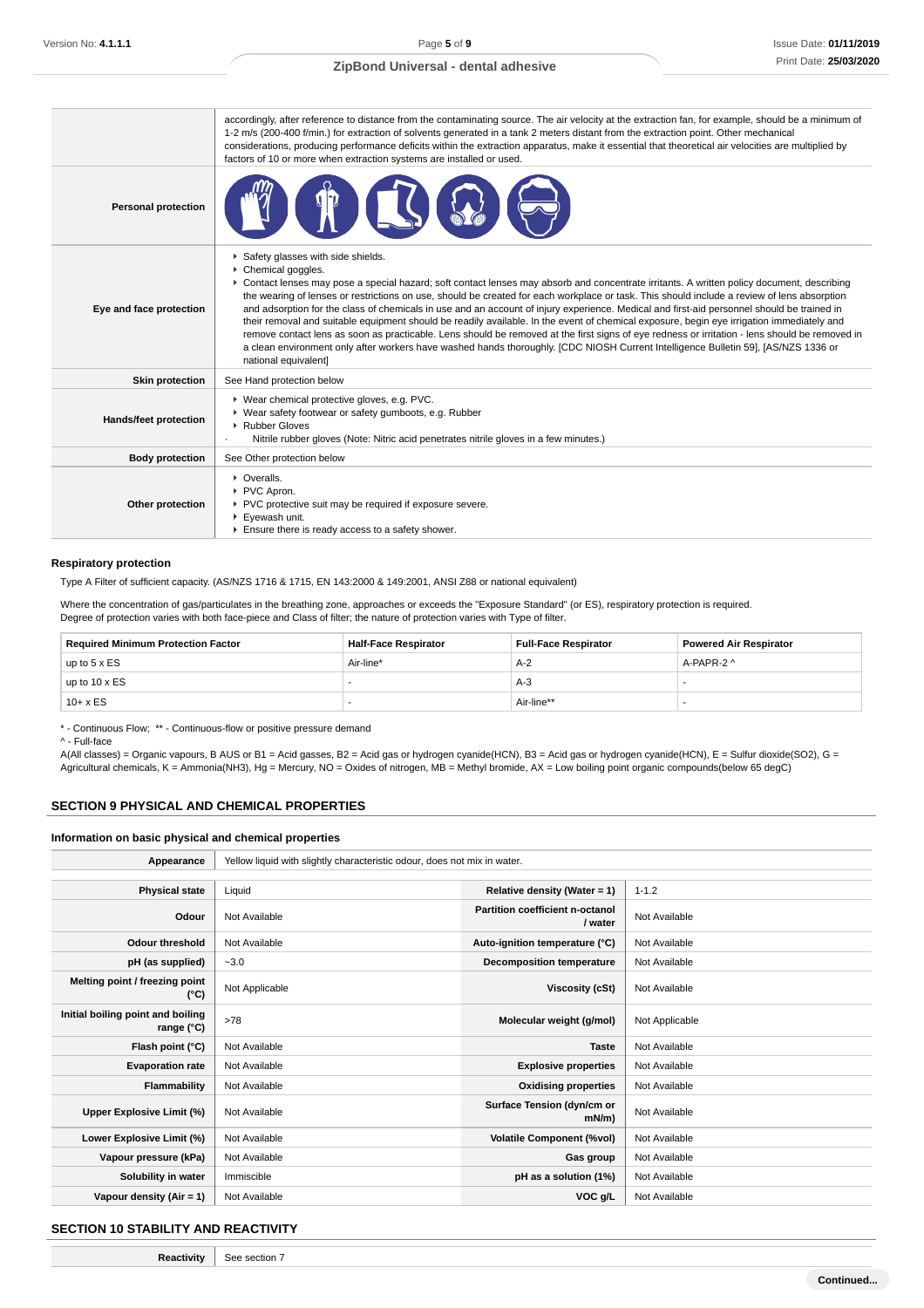|                            | accordingly, after reference to distance from the contaminating source. The air velocity at the extraction fan, for example, should be a minimum of<br>1-2 m/s (200-400 f/min.) for extraction of solvents generated in a tank 2 meters distant from the extraction point. Other mechanical<br>considerations, producing performance deficits within the extraction apparatus, make it essential that theoretical air velocities are multiplied by<br>factors of 10 or more when extraction systems are installed or used.                                                                                                                                                                                                                                                                                                                                                                                                                                      |
|----------------------------|-----------------------------------------------------------------------------------------------------------------------------------------------------------------------------------------------------------------------------------------------------------------------------------------------------------------------------------------------------------------------------------------------------------------------------------------------------------------------------------------------------------------------------------------------------------------------------------------------------------------------------------------------------------------------------------------------------------------------------------------------------------------------------------------------------------------------------------------------------------------------------------------------------------------------------------------------------------------|
| <b>Personal protection</b> |                                                                                                                                                                                                                                                                                                                                                                                                                                                                                                                                                                                                                                                                                                                                                                                                                                                                                                                                                                 |
| Eye and face protection    | Safety glasses with side shields.<br>Chemical goggles.<br>▶ Contact lenses may pose a special hazard; soft contact lenses may absorb and concentrate irritants. A written policy document, describing<br>the wearing of lenses or restrictions on use, should be created for each workplace or task. This should include a review of lens absorption<br>and adsorption for the class of chemicals in use and an account of injury experience. Medical and first-aid personnel should be trained in<br>their removal and suitable equipment should be readily available. In the event of chemical exposure, begin eye irrigation immediately and<br>remove contact lens as soon as practicable. Lens should be removed at the first signs of eye redness or irritation - lens should be removed in<br>a clean environment only after workers have washed hands thoroughly. [CDC NIOSH Current Intelligence Bulletin 59], [AS/NZS 1336 or<br>national equivalent] |
| <b>Skin protection</b>     | See Hand protection below                                                                                                                                                                                                                                                                                                                                                                                                                                                                                                                                                                                                                                                                                                                                                                                                                                                                                                                                       |
| Hands/feet protection      | ▶ Wear chemical protective gloves, e.g. PVC.<br>▶ Wear safety footwear or safety gumboots, e.g. Rubber<br>Rubber Gloves<br>Nitrile rubber gloves (Note: Nitric acid penetrates nitrile gloves in a few minutes.)                                                                                                                                                                                                                                                                                                                                                                                                                                                                                                                                                                                                                                                                                                                                                |
| <b>Body protection</b>     | See Other protection below                                                                                                                                                                                                                                                                                                                                                                                                                                                                                                                                                                                                                                                                                                                                                                                                                                                                                                                                      |
| Other protection           | • Overalls.<br>PVC Apron.<br>PVC protective suit may be required if exposure severe.<br>Eyewash unit.<br>Ensure there is ready access to a safety shower.                                                                                                                                                                                                                                                                                                                                                                                                                                                                                                                                                                                                                                                                                                                                                                                                       |

#### **Respiratory protection**

Type A Filter of sufficient capacity. (AS/NZS 1716 & 1715, EN 143:2000 & 149:2001, ANSI Z88 or national equivalent)

Where the concentration of gas/particulates in the breathing zone, approaches or exceeds the "Exposure Standard" (or ES), respiratory protection is required. Degree of protection varies with both face-piece and Class of filter; the nature of protection varies with Type of filter.

| <b>Required Minimum Protection Factor</b> | <b>Half-Face Respirator</b> | <b>Full-Face Respirator</b> | <b>Powered Air Respirator</b> |
|-------------------------------------------|-----------------------------|-----------------------------|-------------------------------|
| up to $5 \times ES$                       | Air-line*                   | $A-2$                       | A-PAPR-2 ^                    |
| up to 10 x ES                             |                             | $A-3$                       |                               |
| $10+ x ES$                                |                             | Air-line**                  |                               |

\* - Continuous Flow; \*\* - Continuous-flow or positive pressure demand

^ - Full-face

A(All classes) = Organic vapours, B AUS or B1 = Acid gasses, B2 = Acid gas or hydrogen cyanide(HCN), B3 = Acid gas or hydrogen cyanide(HCN), E = Sulfur dioxide(SO2), G = Agricultural chemicals, K = Ammonia(NH3), Hg = Mercury, NO = Oxides of nitrogen, MB = Methyl bromide, AX = Low boiling point organic compounds(below 65 degC)

### **SECTION 9 PHYSICAL AND CHEMICAL PROPERTIES**

#### **Information on basic physical and chemical properties**

| Appearance                                      | Yellow liquid with slightly characteristic odour, does not mix in water. |                                            |                |
|-------------------------------------------------|--------------------------------------------------------------------------|--------------------------------------------|----------------|
|                                                 |                                                                          |                                            |                |
| <b>Physical state</b>                           | Liquid                                                                   | Relative density (Water = 1)               | $1 - 1.2$      |
| Odour                                           | Not Available                                                            | Partition coefficient n-octanol<br>/ water | Not Available  |
| <b>Odour threshold</b>                          | Not Available                                                            | Auto-ignition temperature (°C)             | Not Available  |
| pH (as supplied)                                | $-3.0$                                                                   | <b>Decomposition temperature</b>           | Not Available  |
| Melting point / freezing point<br>(°C)          | Not Applicable                                                           | Viscosity (cSt)                            | Not Available  |
| Initial boiling point and boiling<br>range (°C) | >78                                                                      | Molecular weight (g/mol)                   | Not Applicable |
| Flash point (°C)                                | Not Available                                                            | <b>Taste</b>                               | Not Available  |
| <b>Evaporation rate</b>                         | Not Available                                                            | <b>Explosive properties</b>                | Not Available  |
| Flammability                                    | Not Available                                                            | <b>Oxidising properties</b>                | Not Available  |
| Upper Explosive Limit (%)                       | Not Available                                                            | Surface Tension (dyn/cm or<br>$mN/m$ )     | Not Available  |
| Lower Explosive Limit (%)                       | Not Available                                                            | <b>Volatile Component (%vol)</b>           | Not Available  |
| Vapour pressure (kPa)                           | Not Available                                                            | Gas group                                  | Not Available  |
| Solubility in water                             | Immiscible                                                               | pH as a solution (1%)                      | Not Available  |
| Vapour density $(Air = 1)$                      | Not Available                                                            | VOC g/L                                    | Not Available  |

#### **SECTION 10 STABILITY AND REACTIVITY**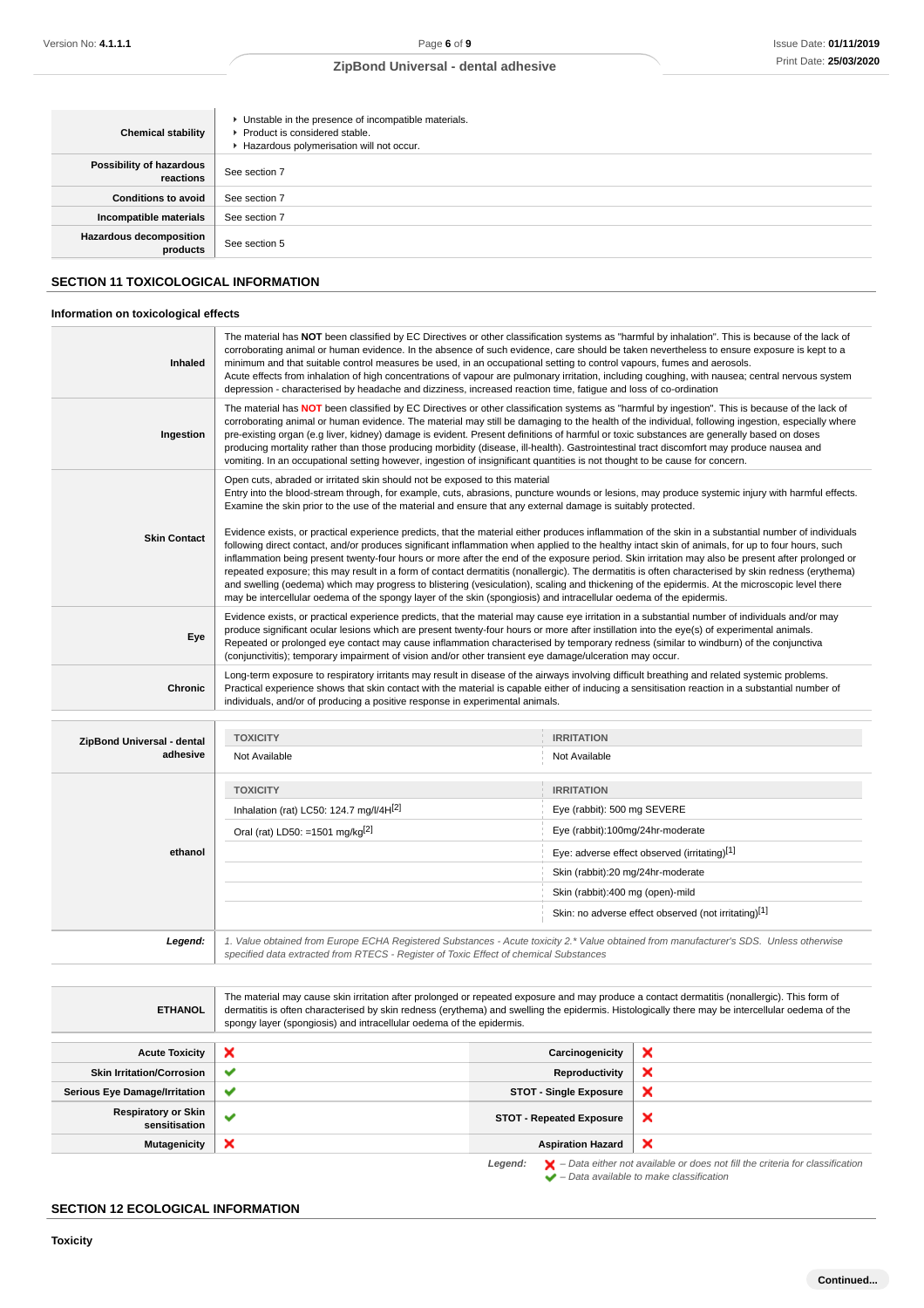| <b>Chemical stability</b>                  | • Unstable in the presence of incompatible materials.<br>▶ Product is considered stable.<br>Hazardous polymerisation will not occur. |
|--------------------------------------------|--------------------------------------------------------------------------------------------------------------------------------------|
| Possibility of hazardous<br>reactions      | See section 7                                                                                                                        |
| <b>Conditions to avoid</b>                 | See section 7                                                                                                                        |
| Incompatible materials                     | See section 7                                                                                                                        |
| <b>Hazardous decomposition</b><br>products | See section 5                                                                                                                        |

## **SECTION 11 TOXICOLOGICAL INFORMATION**

## **Information on toxicological effects**

| Inhaled                        | minimum and that suitable control measures be used, in an occupational setting to control vapours, fumes and aerosols.<br>depression - characterised by headache and dizziness, increased reaction time, fatigue and loss of co-ordination                                                                                                                                                                                                                                                                                                                                                                                                                                                                                                                                                                                                                                                                                                                                                                                                                                                                                                                                                                                                                                                                                                                                                                                                                                                                                                                                                                                                                                                                                                                                                                                                                                                                                                                                                                                                                                                                                                                                                                                                                                                                                                                                                                                                                                                                                                                                                                                                                     | The material has NOT been classified by EC Directives or other classification systems as "harmful by inhalation". This is because of the lack of<br>corroborating animal or human evidence. In the absence of such evidence, care should be taken nevertheless to ensure exposure is kept to a<br>Acute effects from inhalation of high concentrations of vapour are pulmonary irritation, including coughing, with nausea; central nervous system                                                                                                                                             |
|--------------------------------|----------------------------------------------------------------------------------------------------------------------------------------------------------------------------------------------------------------------------------------------------------------------------------------------------------------------------------------------------------------------------------------------------------------------------------------------------------------------------------------------------------------------------------------------------------------------------------------------------------------------------------------------------------------------------------------------------------------------------------------------------------------------------------------------------------------------------------------------------------------------------------------------------------------------------------------------------------------------------------------------------------------------------------------------------------------------------------------------------------------------------------------------------------------------------------------------------------------------------------------------------------------------------------------------------------------------------------------------------------------------------------------------------------------------------------------------------------------------------------------------------------------------------------------------------------------------------------------------------------------------------------------------------------------------------------------------------------------------------------------------------------------------------------------------------------------------------------------------------------------------------------------------------------------------------------------------------------------------------------------------------------------------------------------------------------------------------------------------------------------------------------------------------------------------------------------------------------------------------------------------------------------------------------------------------------------------------------------------------------------------------------------------------------------------------------------------------------------------------------------------------------------------------------------------------------------------------------------------------------------------------------------------------------------|------------------------------------------------------------------------------------------------------------------------------------------------------------------------------------------------------------------------------------------------------------------------------------------------------------------------------------------------------------------------------------------------------------------------------------------------------------------------------------------------------------------------------------------------------------------------------------------------|
| Ingestion                      | vomiting. In an occupational setting however, ingestion of insignificant quantities is not thought to be cause for concern.                                                                                                                                                                                                                                                                                                                                                                                                                                                                                                                                                                                                                                                                                                                                                                                                                                                                                                                                                                                                                                                                                                                                                                                                                                                                                                                                                                                                                                                                                                                                                                                                                                                                                                                                                                                                                                                                                                                                                                                                                                                                                                                                                                                                                                                                                                                                                                                                                                                                                                                                    | The material has NOT been classified by EC Directives or other classification systems as "harmful by ingestion". This is because of the lack of<br>corroborating animal or human evidence. The material may still be damaging to the health of the individual, following ingestion, especially where<br>pre-existing organ (e.g liver, kidney) damage is evident. Present definitions of harmful or toxic substances are generally based on doses<br>producing mortality rather than those producing morbidity (disease, ill-health). Gastrointestinal tract discomfort may produce nausea and |
| <b>Skin Contact</b>            | Open cuts, abraded or irritated skin should not be exposed to this material                                                                                                                                                                                                                                                                                                                                                                                                                                                                                                                                                                                                                                                                                                                                                                                                                                                                                                                                                                                                                                                                                                                                                                                                                                                                                                                                                                                                                                                                                                                                                                                                                                                                                                                                                                                                                                                                                                                                                                                                                                                                                                                                                                                                                                                                                                                                                                                                                                                                                                                                                                                    |                                                                                                                                                                                                                                                                                                                                                                                                                                                                                                                                                                                                |
| Eye                            |                                                                                                                                                                                                                                                                                                                                                                                                                                                                                                                                                                                                                                                                                                                                                                                                                                                                                                                                                                                                                                                                                                                                                                                                                                                                                                                                                                                                                                                                                                                                                                                                                                                                                                                                                                                                                                                                                                                                                                                                                                                                                                                                                                                                                                                                                                                                                                                                                                                                                                                                                                                                                                                                |                                                                                                                                                                                                                                                                                                                                                                                                                                                                                                                                                                                                |
| <b>Chronic</b>                 |                                                                                                                                                                                                                                                                                                                                                                                                                                                                                                                                                                                                                                                                                                                                                                                                                                                                                                                                                                                                                                                                                                                                                                                                                                                                                                                                                                                                                                                                                                                                                                                                                                                                                                                                                                                                                                                                                                                                                                                                                                                                                                                                                                                                                                                                                                                                                                                                                                                                                                                                                                                                                                                                |                                                                                                                                                                                                                                                                                                                                                                                                                                                                                                                                                                                                |
|                                |                                                                                                                                                                                                                                                                                                                                                                                                                                                                                                                                                                                                                                                                                                                                                                                                                                                                                                                                                                                                                                                                                                                                                                                                                                                                                                                                                                                                                                                                                                                                                                                                                                                                                                                                                                                                                                                                                                                                                                                                                                                                                                                                                                                                                                                                                                                                                                                                                                                                                                                                                                                                                                                                |                                                                                                                                                                                                                                                                                                                                                                                                                                                                                                                                                                                                |
| ZipBond Universal - dental     | <b>TOXICITY</b>                                                                                                                                                                                                                                                                                                                                                                                                                                                                                                                                                                                                                                                                                                                                                                                                                                                                                                                                                                                                                                                                                                                                                                                                                                                                                                                                                                                                                                                                                                                                                                                                                                                                                                                                                                                                                                                                                                                                                                                                                                                                                                                                                                                                                                                                                                                                                                                                                                                                                                                                                                                                                                                | <b>IRRITATION</b>                                                                                                                                                                                                                                                                                                                                                                                                                                                                                                                                                                              |
| adhesive<br>ethanol<br>Legend: | Not Available                                                                                                                                                                                                                                                                                                                                                                                                                                                                                                                                                                                                                                                                                                                                                                                                                                                                                                                                                                                                                                                                                                                                                                                                                                                                                                                                                                                                                                                                                                                                                                                                                                                                                                                                                                                                                                                                                                                                                                                                                                                                                                                                                                                                                                                                                                                                                                                                                                                                                                                                                                                                                                                  | Not Available                                                                                                                                                                                                                                                                                                                                                                                                                                                                                                                                                                                  |
|                                | <b>TOXICITY</b>                                                                                                                                                                                                                                                                                                                                                                                                                                                                                                                                                                                                                                                                                                                                                                                                                                                                                                                                                                                                                                                                                                                                                                                                                                                                                                                                                                                                                                                                                                                                                                                                                                                                                                                                                                                                                                                                                                                                                                                                                                                                                                                                                                                                                                                                                                                                                                                                                                                                                                                                                                                                                                                | <b>IRRITATION</b>                                                                                                                                                                                                                                                                                                                                                                                                                                                                                                                                                                              |
|                                |                                                                                                                                                                                                                                                                                                                                                                                                                                                                                                                                                                                                                                                                                                                                                                                                                                                                                                                                                                                                                                                                                                                                                                                                                                                                                                                                                                                                                                                                                                                                                                                                                                                                                                                                                                                                                                                                                                                                                                                                                                                                                                                                                                                                                                                                                                                                                                                                                                                                                                                                                                                                                                                                | Eye (rabbit): 500 mg SEVERE                                                                                                                                                                                                                                                                                                                                                                                                                                                                                                                                                                    |
|                                | Entry into the blood-stream through, for example, cuts, abrasions, puncture wounds or lesions, may produce systemic injury with harmful effects.<br>Examine the skin prior to the use of the material and ensure that any external damage is suitably protected.<br>Evidence exists, or practical experience predicts, that the material either produces inflammation of the skin in a substantial number of individuals<br>following direct contact, and/or produces significant inflammation when applied to the healthy intact skin of animals, for up to four hours, such<br>inflammation being present twenty-four hours or more after the end of the exposure period. Skin irritation may also be present after prolonged or<br>repeated exposure; this may result in a form of contact dermatitis (nonallergic). The dermatitis is often characterised by skin redness (erythema)<br>and swelling (oedema) which may progress to blistering (vesiculation), scaling and thickening of the epidermis. At the microscopic level there<br>may be intercellular oedema of the spongy layer of the skin (spongiosis) and intracellular oedema of the epidermis.<br>Evidence exists, or practical experience predicts, that the material may cause eye irritation in a substantial number of individuals and/or may<br>produce significant ocular lesions which are present twenty-four hours or more after instillation into the eye(s) of experimental animals.<br>Repeated or prolonged eye contact may cause inflammation characterised by temporary redness (similar to windburn) of the conjunctiva<br>(conjunctivitis); temporary impairment of vision and/or other transient eye damage/ulceration may occur.<br>Long-term exposure to respiratory irritants may result in disease of the airways involving difficult breathing and related systemic problems.<br>Practical experience shows that skin contact with the material is capable either of inducing a sensitisation reaction in a substantial number of<br>individuals, and/or of producing a positive response in experimental animals.<br>Inhalation (rat) LC50: 124.7 mg/l/4H[2]<br>Oral (rat) LD50: =1501 mg/kg <sup>[2]</sup><br>Eye (rabbit):100mg/24hr-moderate<br>Eye: adverse effect observed (irritating)[1]<br>Skin (rabbit):20 mg/24hr-moderate<br>Skin (rabbit):400 mg (open)-mild<br>Skin: no adverse effect observed (not irritating)[1]<br>1. Value obtained from Europe ECHA Registered Substances - Acute toxicity 2.* Value obtained from manufacturer's SDS. Unless otherwise<br>specified data extracted from RTECS - Register of Toxic Effect of chemical Substances |                                                                                                                                                                                                                                                                                                                                                                                                                                                                                                                                                                                                |
|                                |                                                                                                                                                                                                                                                                                                                                                                                                                                                                                                                                                                                                                                                                                                                                                                                                                                                                                                                                                                                                                                                                                                                                                                                                                                                                                                                                                                                                                                                                                                                                                                                                                                                                                                                                                                                                                                                                                                                                                                                                                                                                                                                                                                                                                                                                                                                                                                                                                                                                                                                                                                                                                                                                |                                                                                                                                                                                                                                                                                                                                                                                                                                                                                                                                                                                                |
|                                |                                                                                                                                                                                                                                                                                                                                                                                                                                                                                                                                                                                                                                                                                                                                                                                                                                                                                                                                                                                                                                                                                                                                                                                                                                                                                                                                                                                                                                                                                                                                                                                                                                                                                                                                                                                                                                                                                                                                                                                                                                                                                                                                                                                                                                                                                                                                                                                                                                                                                                                                                                                                                                                                |                                                                                                                                                                                                                                                                                                                                                                                                                                                                                                                                                                                                |
|                                |                                                                                                                                                                                                                                                                                                                                                                                                                                                                                                                                                                                                                                                                                                                                                                                                                                                                                                                                                                                                                                                                                                                                                                                                                                                                                                                                                                                                                                                                                                                                                                                                                                                                                                                                                                                                                                                                                                                                                                                                                                                                                                                                                                                                                                                                                                                                                                                                                                                                                                                                                                                                                                                                |                                                                                                                                                                                                                                                                                                                                                                                                                                                                                                                                                                                                |
|                                |                                                                                                                                                                                                                                                                                                                                                                                                                                                                                                                                                                                                                                                                                                                                                                                                                                                                                                                                                                                                                                                                                                                                                                                                                                                                                                                                                                                                                                                                                                                                                                                                                                                                                                                                                                                                                                                                                                                                                                                                                                                                                                                                                                                                                                                                                                                                                                                                                                                                                                                                                                                                                                                                |                                                                                                                                                                                                                                                                                                                                                                                                                                                                                                                                                                                                |
|                                |                                                                                                                                                                                                                                                                                                                                                                                                                                                                                                                                                                                                                                                                                                                                                                                                                                                                                                                                                                                                                                                                                                                                                                                                                                                                                                                                                                                                                                                                                                                                                                                                                                                                                                                                                                                                                                                                                                                                                                                                                                                                                                                                                                                                                                                                                                                                                                                                                                                                                                                                                                                                                                                                |                                                                                                                                                                                                                                                                                                                                                                                                                                                                                                                                                                                                |
|                                |                                                                                                                                                                                                                                                                                                                                                                                                                                                                                                                                                                                                                                                                                                                                                                                                                                                                                                                                                                                                                                                                                                                                                                                                                                                                                                                                                                                                                                                                                                                                                                                                                                                                                                                                                                                                                                                                                                                                                                                                                                                                                                                                                                                                                                                                                                                                                                                                                                                                                                                                                                                                                                                                |                                                                                                                                                                                                                                                                                                                                                                                                                                                                                                                                                                                                |
| <b>ETHANOL</b>                 |                                                                                                                                                                                                                                                                                                                                                                                                                                                                                                                                                                                                                                                                                                                                                                                                                                                                                                                                                                                                                                                                                                                                                                                                                                                                                                                                                                                                                                                                                                                                                                                                                                                                                                                                                                                                                                                                                                                                                                                                                                                                                                                                                                                                                                                                                                                                                                                                                                                                                                                                                                                                                                                                | The material may cause skin irritation after prolonged or repeated exposure and may produce a contact dermatitis (nonallergic). This form of<br>dermatitis is often characterised by skin redness (erythema) and swelling the epidermis. Histologically there may be intercellular oedema of the                                                                                                                                                                                                                                                                                               |

|                                             |                       | spongy layer (spongiosis) and intracellular oedema of the epidermis. |                                                                                                                                                                     |  |  |
|---------------------------------------------|-----------------------|----------------------------------------------------------------------|---------------------------------------------------------------------------------------------------------------------------------------------------------------------|--|--|
|                                             |                       |                                                                      |                                                                                                                                                                     |  |  |
| <b>Acute Toxicity</b>                       | ×                     | Carcinogenicity                                                      | $\boldsymbol{\mathsf{x}}$                                                                                                                                           |  |  |
| <b>Skin Irritation/Corrosion</b>            | $\tilde{\phantom{a}}$ | Reproductivity                                                       | $\boldsymbol{\mathsf{x}}$                                                                                                                                           |  |  |
| <b>Serious Eye Damage/Irritation</b>        | $\checkmark$          | <b>STOT - Single Exposure</b>                                        | $\boldsymbol{\mathsf{x}}$                                                                                                                                           |  |  |
| <b>Respiratory or Skin</b><br>sensitisation | M                     | <b>STOT - Repeated Exposure</b>                                      | $\boldsymbol{\mathsf{x}}$                                                                                                                                           |  |  |
| <b>Mutagenicity</b>                         | ×                     | <b>Aspiration Hazard</b>                                             | $\boldsymbol{\mathsf{x}}$                                                                                                                                           |  |  |
|                                             |                       | Legend:                                                              | $\blacktriangleright$ - Data either not available or does not fill the criteria for classification<br>$\blacktriangleright$ - Data available to make classification |  |  |

**SECTION 12 ECOLOGICAL INFORMATION**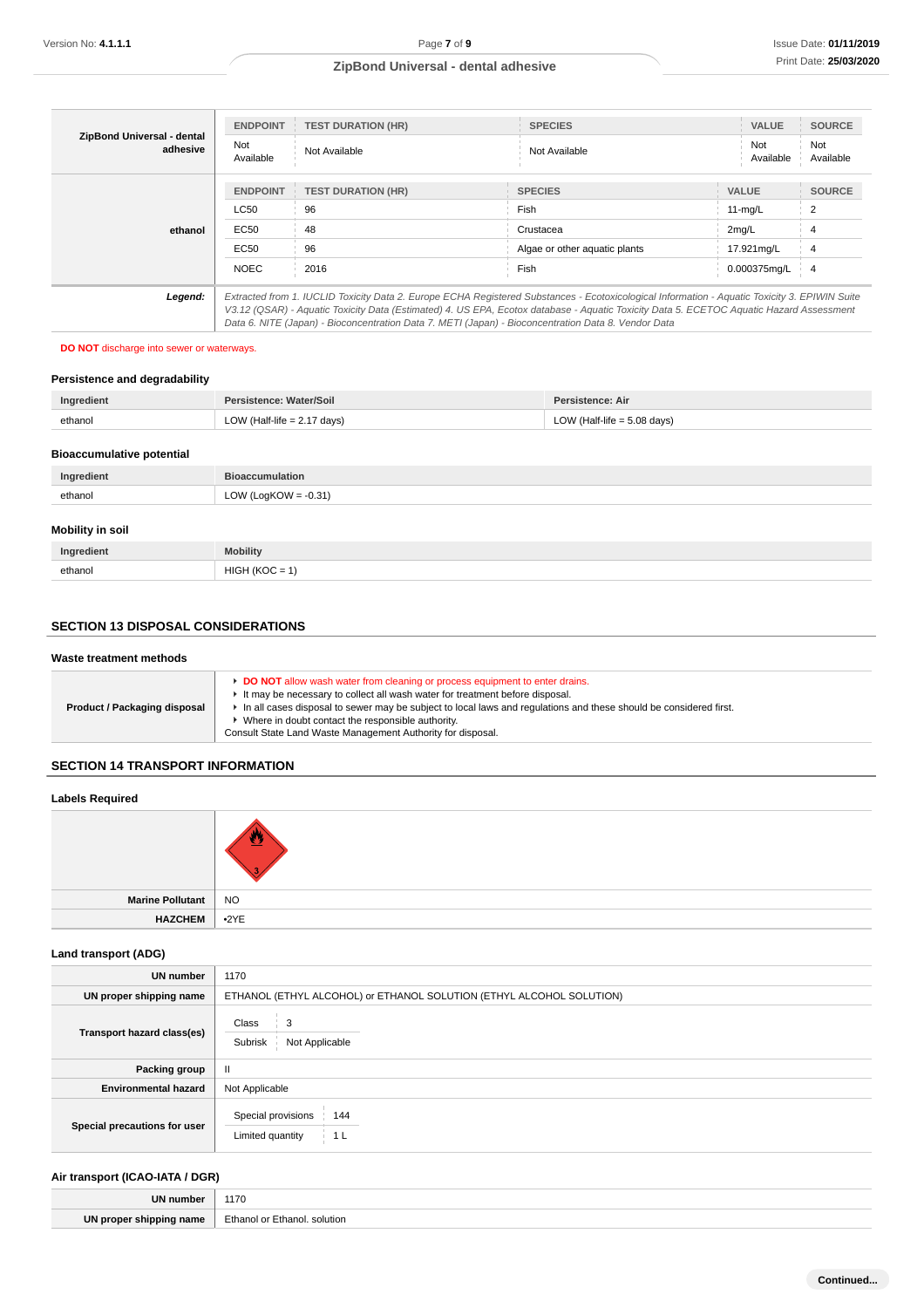| ZipBond Universal - dental<br>adhesive<br>ethanol | <b>ENDPOINT</b>  | <b>TEST DURATION (HR)</b>                                                                                                                                                                                                                      | <b>SPECIES</b>                                                                                                                                | <b>VALUE</b>     | <b>SOURCE</b>    |  |  |
|---------------------------------------------------|------------------|------------------------------------------------------------------------------------------------------------------------------------------------------------------------------------------------------------------------------------------------|-----------------------------------------------------------------------------------------------------------------------------------------------|------------------|------------------|--|--|
|                                                   | Not<br>Available | Not Available                                                                                                                                                                                                                                  | Not Available                                                                                                                                 | Not<br>Available | Not<br>Available |  |  |
|                                                   | <b>ENDPOINT</b>  | <b>TEST DURATION (HR)</b>                                                                                                                                                                                                                      | <b>SPECIES</b>                                                                                                                                | <b>VALUE</b>     | <b>SOURCE</b>    |  |  |
|                                                   | <b>LC50</b>      | 96                                                                                                                                                                                                                                             | Fish                                                                                                                                          | $11-mq/L$        | 2                |  |  |
|                                                   | EC50             | 48                                                                                                                                                                                                                                             | Crustacea                                                                                                                                     | 2mq/L            |                  |  |  |
|                                                   | EC50             | 96                                                                                                                                                                                                                                             | Algae or other aquatic plants                                                                                                                 | 17.921mg/L       | 4                |  |  |
|                                                   | <b>NOEC</b>      | 2016                                                                                                                                                                                                                                           | Fish                                                                                                                                          | 0.000375mg/L     | $\overline{4}$   |  |  |
| Legend:                                           |                  |                                                                                                                                                                                                                                                | Extracted from 1. IUCLID Toxicity Data 2. Europe ECHA Registered Substances - Ecotoxicological Information - Aquatic Toxicity 3. EPIWIN Suite |                  |                  |  |  |
|                                                   |                  | V3.12 (QSAR) - Aquatic Toxicity Data (Estimated) 4. US EPA, Ecotox database - Aquatic Toxicity Data 5. ECETOC Aquatic Hazard Assessment<br>Data 6. NITE (Japan) - Bioconcentration Data 7. METI (Japan) - Bioconcentration Data 8. Vendor Data |                                                                                                                                               |                  |                  |  |  |

### **DO NOT** discharge into sewer or waterways.

### **Persistence and degradability**

| Ingredient                       | Persistence: Water/Soil<br>Persistence: Air                    |  |  |  |
|----------------------------------|----------------------------------------------------------------|--|--|--|
| ethanol                          | LOW (Half-life $= 2.17$ days)<br>LOW (Half-life $= 5.08$ days) |  |  |  |
| <b>Bioaccumulative potential</b> |                                                                |  |  |  |
| Ingredient                       | <b>Bioaccumulation</b>                                         |  |  |  |
| ethanol                          | LOW (LogKOW = $-0.31$ )                                        |  |  |  |
| <b>Mobility in soil</b>          |                                                                |  |  |  |
| Ingredient                       | <b>Mobility</b>                                                |  |  |  |

## **SECTION 13 DISPOSAL CONSIDERATIONS**

ethanol  $HIGH (KOC = 1)$ 

### **Waste treatment methods**

| In all cases disposal to sewer may be subject to local laws and regulations and these should be considered first.<br>Product / Packaging disposal<br>Where in doubt contact the responsible authority. | Consult State Land Waste Management Authority for disposal. |  | DO NOT allow wash water from cleaning or process equipment to enter drains.<br>It may be necessary to collect all wash water for treatment before disposal. |
|--------------------------------------------------------------------------------------------------------------------------------------------------------------------------------------------------------|-------------------------------------------------------------|--|-------------------------------------------------------------------------------------------------------------------------------------------------------------|
|--------------------------------------------------------------------------------------------------------------------------------------------------------------------------------------------------------|-------------------------------------------------------------|--|-------------------------------------------------------------------------------------------------------------------------------------------------------------|

## **SECTION 14 TRANSPORT INFORMATION**

### **Labels Required**

| Marine Pollutant   NO |                         |
|-----------------------|-------------------------|
| <b>HAZCHEM</b>        | $\cdot$ <sup>2</sup> YE |

### **Land transport (ADG)**

| UN number                    | 1170                                                                 |  |  |
|------------------------------|----------------------------------------------------------------------|--|--|
| UN proper shipping name      | ETHANOL (ETHYL ALCOHOL) or ETHANOL SOLUTION (ETHYL ALCOHOL SOLUTION) |  |  |
| Transport hazard class(es)   | Class<br>3<br>Subrisk<br>Not Applicable                              |  |  |
| Packing group                | $\mathbf{II}$                                                        |  |  |
| <b>Environmental hazard</b>  | Not Applicable                                                       |  |  |
| Special precautions for user | Special provisions<br>144<br>Limited quantity<br>1 L                 |  |  |

## **Air transport (ICAO-IATA / DGR)**

| <b>TIM</b> | 1170                                       |
|------------|--------------------------------------------|
| ШN<br>name | ⊡thano⊾<br>solution<br>$=+$ hono<br>.<br>. |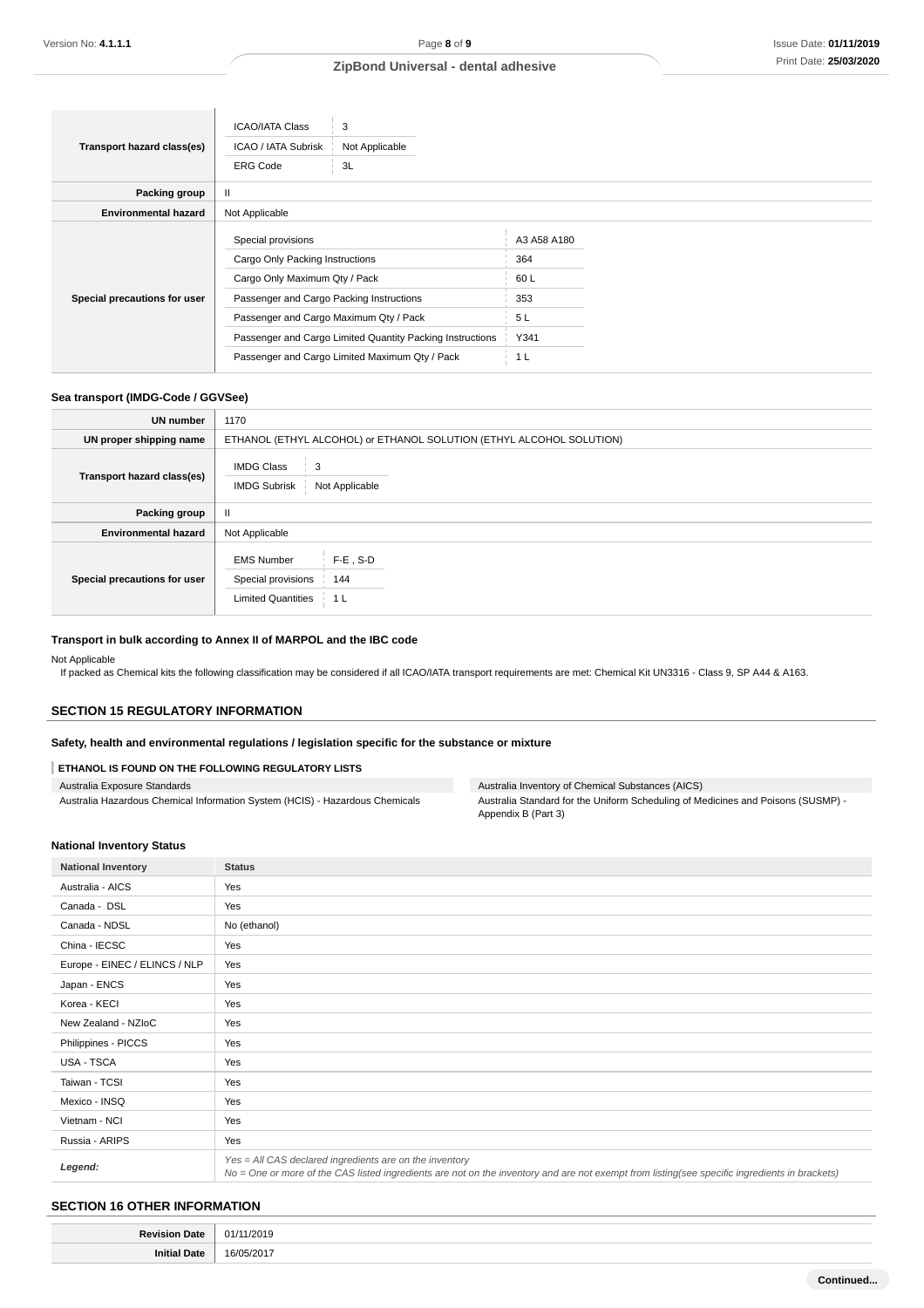|                              | <b>ICAO/IATA Class</b>                                    | 3              |             |  |
|------------------------------|-----------------------------------------------------------|----------------|-------------|--|
| Transport hazard class(es)   | ICAO / IATA Subrisk                                       | Not Applicable |             |  |
|                              | <b>ERG Code</b>                                           | 3L             |             |  |
| Packing group                | Ш                                                         |                |             |  |
| <b>Environmental hazard</b>  | Not Applicable                                            |                |             |  |
| Special precautions for user | Special provisions                                        |                | A3 A58 A180 |  |
|                              | Cargo Only Packing Instructions                           |                | 364         |  |
|                              | Cargo Only Maximum Qty / Pack                             |                | 60 L        |  |
|                              | Passenger and Cargo Packing Instructions                  |                | 353         |  |
|                              | Passenger and Cargo Maximum Qty / Pack                    |                | 5 L         |  |
|                              | Passenger and Cargo Limited Quantity Packing Instructions |                | Y341        |  |
|                              | Passenger and Cargo Limited Maximum Qty / Pack            |                | 1 L         |  |

### **Sea transport (IMDG-Code / GGVSee)**

| <b>UN</b> number             | 1170                                                                                              |  |  |
|------------------------------|---------------------------------------------------------------------------------------------------|--|--|
| UN proper shipping name      | ETHANOL (ETHYL ALCOHOL) or ETHANOL SOLUTION (ETHYL ALCOHOL SOLUTION)                              |  |  |
| Transport hazard class(es)   | <b>IMDG Class</b><br>3<br><b>IMDG Subrisk</b><br>Not Applicable                                   |  |  |
| Packing group                | $\mathbf{H}$                                                                                      |  |  |
| <b>Environmental hazard</b>  | Not Applicable                                                                                    |  |  |
| Special precautions for user | $F-E$ , S-D<br><b>EMS Number</b><br>Special provisions<br>144<br><b>Limited Quantities</b><br>1 L |  |  |

### **Transport in bulk according to Annex II of MARPOL and the IBC code**

Not Applicable

If packed as Chemical kits the following classification may be considered if all ICAO/IATA transport requirements are met: Chemical Kit UN3316 - Class 9, SP A44 & A163.

### **SECTION 15 REGULATORY INFORMATION**

## **Safety, health and environmental regulations / legislation specific for the substance or mixture**

### **ETHANOL IS FOUND ON THE FOLLOWING REGULATORY LISTS**

| Australia Exposure Standards                                                 |
|------------------------------------------------------------------------------|
| Australia Hazardous Chemical Information System (HCIS) - Hazardous Chemicals |

Australia Inventory of Chemical Substances (AICS) Australia Standard for the Uniform Scheduling of Medicines and Poisons (SUSMP) - Appendix B (Part 3)

#### **National Inventory Status**

| <b>National Inventory</b>     | <b>Status</b>                                                                                                                                                                                            |
|-------------------------------|----------------------------------------------------------------------------------------------------------------------------------------------------------------------------------------------------------|
| Australia - AICS              | Yes                                                                                                                                                                                                      |
| Canada - DSL                  | Yes                                                                                                                                                                                                      |
| Canada - NDSL                 | No (ethanol)                                                                                                                                                                                             |
| China - IECSC                 | Yes                                                                                                                                                                                                      |
| Europe - EINEC / ELINCS / NLP | Yes                                                                                                                                                                                                      |
| Japan - ENCS                  | Yes                                                                                                                                                                                                      |
| Korea - KECI                  | Yes                                                                                                                                                                                                      |
| New Zealand - NZIoC           | Yes                                                                                                                                                                                                      |
| Philippines - PICCS           | Yes                                                                                                                                                                                                      |
| USA - TSCA                    | Yes                                                                                                                                                                                                      |
| Taiwan - TCSI                 | Yes                                                                                                                                                                                                      |
| Mexico - INSQ                 | Yes                                                                                                                                                                                                      |
| Vietnam - NCI                 | Yes                                                                                                                                                                                                      |
| Russia - ARIPS                | Yes                                                                                                                                                                                                      |
| Legend:                       | Yes = All CAS declared ingredients are on the inventory<br>No = One or more of the CAS listed ingredients are not on the inventory and are not exempt from listing(see specific ingredients in brackets) |

## **SECTION 16 OTHER INFORMATION**

| De. | 1/2019           |
|-----|------------------|
|     | Λ1               |
|     | $\sim$<br>.<br>n |